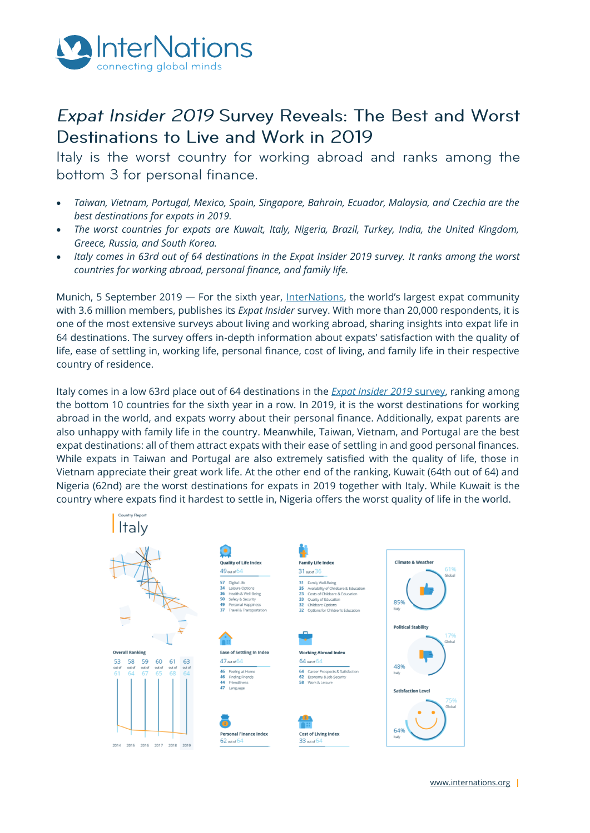

## Expat Insider 2019 Survey Reveals: The Best and Worst Destinations to Live and Work in 2019

Italy is the worst country for working abroad and ranks among the bottom 3 for personal finance.

- *Taiwan, Vietnam, Portugal, Mexico, Spain, Singapore, Bahrain, Ecuador, Malaysia, and Czechia are the best destinations for expats in 2019.*
- *The worst countries for expats are Kuwait, Italy, Nigeria, Brazil, Turkey, India, the United Kingdom, Greece, Russia, and South Korea.*
- *Italy comes in 63rd out of 64 destinations in the Expat Insider 2019 survey. It ranks among the worst countries for working abroad, personal finance, and family life.*

Munich, 5 September 2019 — For the sixth year, [InterNations](http://www.internations.org/), the world's largest expat community with 3.6 million members, publishes its *Expat Insider* survey. With more than 20,000 respondents, it is one of the most extensive surveys about living and working abroad, sharing insights into expat life in 64 destinations. The survey offers in-depth information about expats' satisfaction with the quality of life, ease of settling in, working life, personal finance, cost of living, and family life in their respective country of residence.

Italy comes in a low 63rd place out of 64 destinations in the *[Expat Insider 2019](http://www.internations.org/expat-insider)* survey, ranking among the bottom 10 countries for the sixth year in a row. In 2019, it is the worst destinations for working abroad in the world, and expats worry about their personal finance. Additionally, expat parents are also unhappy with family life in the country. Meanwhile, Taiwan, Vietnam, and Portugal are the best expat destinations: all of them attract expats with their ease of settling in and good personal finances. While expats in Taiwan and Portugal are also extremely satisfied with the quality of life, those in Vietnam appreciate their great work life. At the other end of the ranking, Kuwait (64th out of 64) and Nigeria (62nd) are the worst destinations for expats in 2019 together with Italy. While Kuwait is the country where expats find it hardest to settle in, Nigeria offers the worst quality of life in the world.

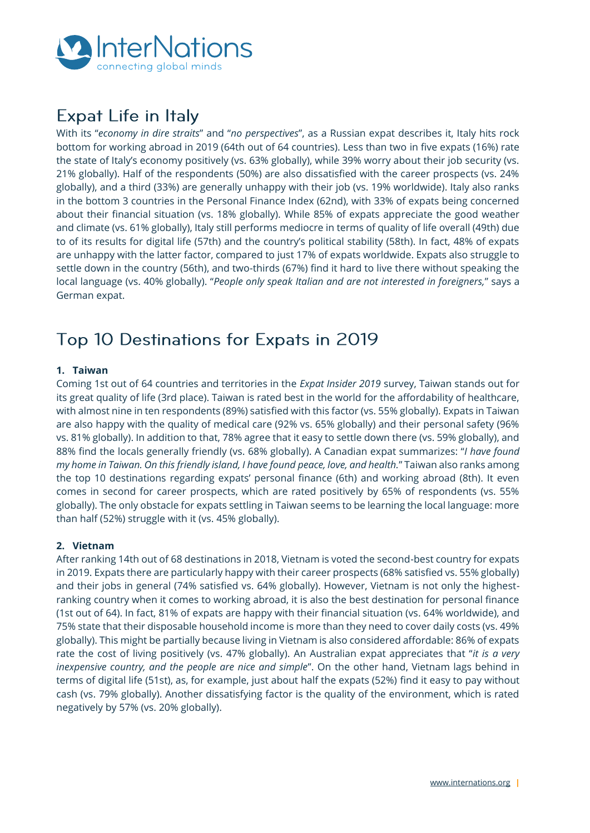

# **Expat Life in Italy**

With its "*economy in dire straits*" and "*no perspectives*", as a Russian expat describes it, Italy hits rock bottom for working abroad in 2019 (64th out of 64 countries). Less than two in five expats (16%) rate the state of Italy's economy positively (vs. 63% globally), while 39% worry about their job security (vs. 21% globally). Half of the respondents (50%) are also dissatisfied with the career prospects (vs. 24% globally), and a third (33%) are generally unhappy with their job (vs. 19% worldwide). Italy also ranks in the bottom 3 countries in the Personal Finance Index (62nd), with 33% of expats being concerned about their financial situation (vs. 18% globally). While 85% of expats appreciate the good weather and climate (vs. 61% globally), Italy still performs mediocre in terms of quality of life overall (49th) due to of its results for digital life (57th) and the country's political stability (58th). In fact, 48% of expats are unhappy with the latter factor, compared to just 17% of expats worldwide. Expats also struggle to settle down in the country (56th), and two-thirds (67%) find it hard to live there without speaking the local language (vs. 40% globally). "*People only speak Italian and are not interested in foreigners,*" says a German expat.

## Top 10 Destinations for Expats in 2019

## **1. Taiwan**

Coming 1st out of 64 countries and territories in the *Expat Insider 2019* survey, Taiwan stands out for its great quality of life (3rd place). Taiwan is rated best in the world for the affordability of healthcare, with almost nine in ten respondents (89%) satisfied with this factor (vs. 55% globally). Expats in Taiwan are also happy with the quality of medical care (92% vs. 65% globally) and their personal safety (96% vs. 81% globally). In addition to that, 78% agree that it easy to settle down there (vs. 59% globally), and 88% find the locals generally friendly (vs. 68% globally). A Canadian expat summarizes: "*I have found my home in Taiwan. On this friendly island, I have found peace, love, and health.*" Taiwan also ranks among the top 10 destinations regarding expats' personal finance (6th) and working abroad (8th). It even comes in second for career prospects, which are rated positively by 65% of respondents (vs. 55% globally). The only obstacle for expats settling in Taiwan seems to be learning the local language: more than half (52%) struggle with it (vs. 45% globally).

## **2. Vietnam**

After ranking 14th out of 68 destinations in 2018, Vietnam is voted the second-best country for expats in 2019. Expats there are particularly happy with their career prospects (68% satisfied vs. 55% globally) and their jobs in general (74% satisfied vs. 64% globally). However, Vietnam is not only the highestranking country when it comes to working abroad, it is also the best destination for personal finance (1st out of 64). In fact, 81% of expats are happy with their financial situation (vs. 64% worldwide), and 75% state that their disposable household income is more than they need to cover daily costs (vs. 49% globally). This might be partially because living in Vietnam is also considered affordable: 86% of expats rate the cost of living positively (vs. 47% globally). An Australian expat appreciates that "*it is a very inexpensive country, and the people are nice and simple*". On the other hand, Vietnam lags behind in terms of digital life (51st), as, for example, just about half the expats (52%) find it easy to pay without cash (vs. 79% globally). Another dissatisfying factor is the quality of the environment, which is rated negatively by 57% (vs. 20% globally).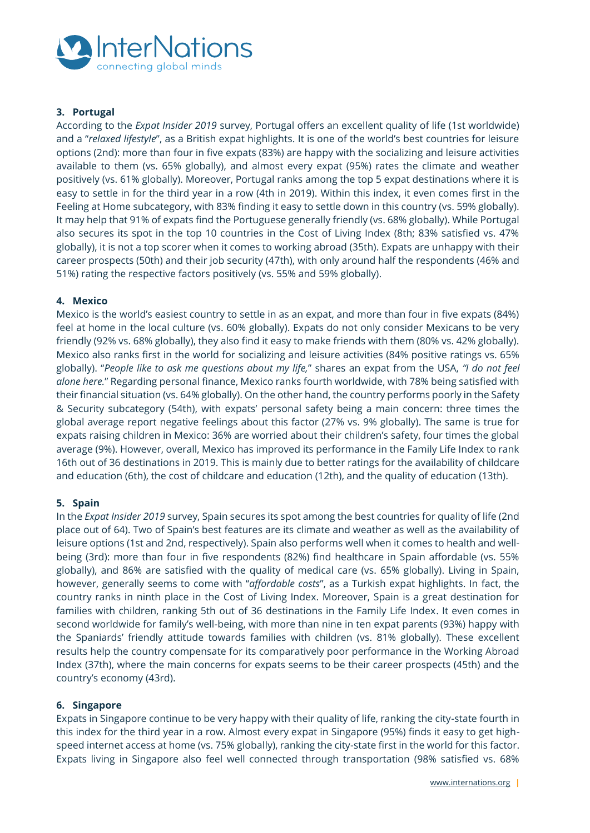

## **3. Portugal**

According to the *Expat Insider 2019* survey, Portugal offers an excellent quality of life (1st worldwide) and a "*relaxed lifestyle*", as a British expat highlights. It is one of the world's best countries for leisure options (2nd): more than four in five expats (83%) are happy with the socializing and leisure activities available to them (vs. 65% globally), and almost every expat (95%) rates the climate and weather positively (vs. 61% globally). Moreover, Portugal ranks among the top 5 expat destinations where it is easy to settle in for the third year in a row (4th in 2019). Within this index, it even comes first in the Feeling at Home subcategory, with 83% finding it easy to settle down in this country (vs. 59% globally). It may help that 91% of expats find the Portuguese generally friendly (vs. 68% globally). While Portugal also secures its spot in the top 10 countries in the Cost of Living Index (8th; 83% satisfied vs. 47% globally), it is not a top scorer when it comes to working abroad (35th). Expats are unhappy with their career prospects (50th) and their job security (47th), with only around half the respondents (46% and 51%) rating the respective factors positively (vs. 55% and 59% globally).

### **4. Mexico**

Mexico is the world's easiest country to settle in as an expat, and more than four in five expats (84%) feel at home in the local culture (vs. 60% globally). Expats do not only consider Mexicans to be very friendly (92% vs. 68% globally), they also find it easy to make friends with them (80% vs. 42% globally). Mexico also ranks first in the world for socializing and leisure activities (84% positive ratings vs. 65% globally). "*People like to ask me questions about my life,*" shares an expat from the USA, *"I do not feel alone here.*" Regarding personal finance, Mexico ranks fourth worldwide, with 78% being satisfied with their financial situation (vs. 64% globally). On the other hand, the country performs poorly in the Safety & Security subcategory (54th), with expats' personal safety being a main concern: three times the global average report negative feelings about this factor (27% vs. 9% globally). The same is true for expats raising children in Mexico: 36% are worried about their children's safety, four times the global average (9%). However, overall, Mexico has improved its performance in the Family Life Index to rank 16th out of 36 destinations in 2019. This is mainly due to better ratings for the availability of childcare and education (6th), the cost of childcare and education (12th), and the quality of education (13th).

#### **5. Spain**

In the *Expat Insider 2019* survey, Spain secures its spot among the best countries for quality of life (2nd place out of 64). Two of Spain's best features are its climate and weather as well as the availability of leisure options (1st and 2nd, respectively). Spain also performs well when it comes to health and wellbeing (3rd): more than four in five respondents (82%) find healthcare in Spain affordable (vs. 55% globally), and 86% are satisfied with the quality of medical care (vs. 65% globally). Living in Spain, however, generally seems to come with "*affordable costs*", as a Turkish expat highlights. In fact, the country ranks in ninth place in the Cost of Living Index. Moreover, Spain is a great destination for families with children, ranking 5th out of 36 destinations in the Family Life Index. It even comes in second worldwide for family's well-being, with more than nine in ten expat parents (93%) happy with the Spaniards' friendly attitude towards families with children (vs. 81% globally). These excellent results help the country compensate for its comparatively poor performance in the Working Abroad Index (37th), where the main concerns for expats seems to be their career prospects (45th) and the country's economy (43rd).

#### **6. Singapore**

Expats in Singapore continue to be very happy with their quality of life, ranking the city-state fourth in this index for the third year in a row. Almost every expat in Singapore (95%) finds it easy to get highspeed internet access at home (vs. 75% globally), ranking the city-state first in the world for this factor. Expats living in Singapore also feel well connected through transportation (98% satisfied vs. 68%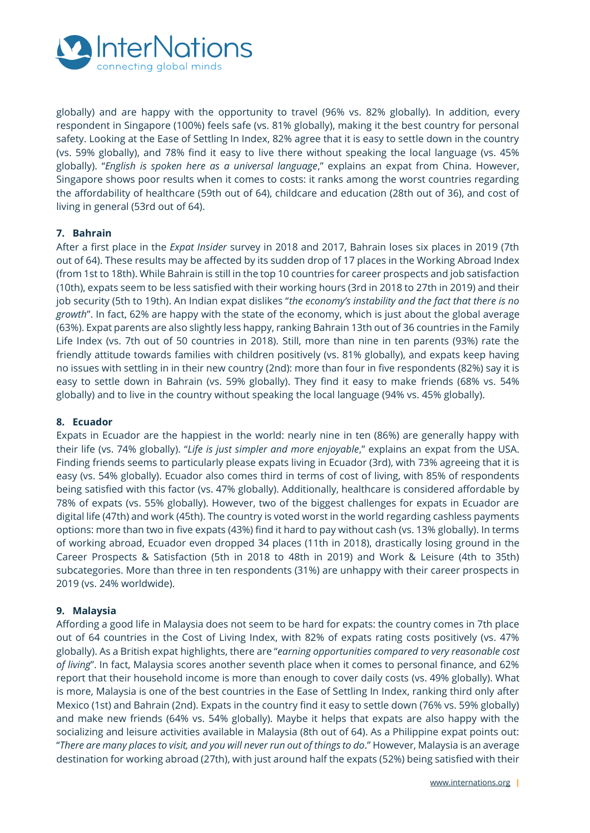

globally) and are happy with the opportunity to travel (96% vs. 82% globally). In addition, every respondent in Singapore (100%) feels safe (vs. 81% globally), making it the best country for personal safety. Looking at the Ease of Settling In Index, 82% agree that it is easy to settle down in the country (vs. 59% globally), and 78% find it easy to live there without speaking the local language (vs. 45% globally). "*English is spoken here as a universal language*," explains an expat from China. However, Singapore shows poor results when it comes to costs: it ranks among the worst countries regarding the affordability of healthcare (59th out of 64), childcare and education (28th out of 36), and cost of living in general (53rd out of 64).

### **7. Bahrain**

After a first place in the *Expat Insider* survey in 2018 and 2017, Bahrain loses six places in 2019 (7th out of 64). These results may be affected by its sudden drop of 17 places in the Working Abroad Index (from 1st to 18th). While Bahrain is still in the top 10 countries for career prospects and job satisfaction (10th), expats seem to be less satisfied with their working hours (3rd in 2018 to 27th in 2019) and their job security (5th to 19th). An Indian expat dislikes "*the economy's instability and the fact that there is no growth*". In fact, 62% are happy with the state of the economy, which is just about the global average (63%). Expat parents are also slightly less happy, ranking Bahrain 13th out of 36 countries in the Family Life Index (vs. 7th out of 50 countries in 2018). Still, more than nine in ten parents (93%) rate the friendly attitude towards families with children positively (vs. 81% globally), and expats keep having no issues with settling in in their new country (2nd): more than four in five respondents (82%) say it is easy to settle down in Bahrain (vs. 59% globally). They find it easy to make friends (68% vs. 54% globally) and to live in the country without speaking the local language (94% vs. 45% globally).

### **8. Ecuador**

Expats in Ecuador are the happiest in the world: nearly nine in ten (86%) are generally happy with their life (vs. 74% globally). "*Life is just simpler and more enjoyable*," explains an expat from the USA. Finding friends seems to particularly please expats living in Ecuador (3rd), with 73% agreeing that it is easy (vs. 54% globally). Ecuador also comes third in terms of cost of living, with 85% of respondents being satisfied with this factor (vs. 47% globally). Additionally, healthcare is considered affordable by 78% of expats (vs. 55% globally). However, two of the biggest challenges for expats in Ecuador are digital life (47th) and work (45th). The country is voted worst in the world regarding cashless payments options: more than two in five expats (43%) find it hard to pay without cash (vs. 13% globally). In terms of working abroad, Ecuador even dropped 34 places (11th in 2018), drastically losing ground in the Career Prospects & Satisfaction (5th in 2018 to 48th in 2019) and Work & Leisure (4th to 35th) subcategories. More than three in ten respondents (31%) are unhappy with their career prospects in 2019 (vs. 24% worldwide).

### **9. Malaysia**

Affording a good life in Malaysia does not seem to be hard for expats: the country comes in 7th place out of 64 countries in the Cost of Living Index, with 82% of expats rating costs positively (vs. 47% globally). As a British expat highlights, there are "*earning opportunities compared to very reasonable cost of living*". In fact, Malaysia scores another seventh place when it comes to personal finance, and 62% report that their household income is more than enough to cover daily costs (vs. 49% globally). What is more, Malaysia is one of the best countries in the Ease of Settling In Index, ranking third only after Mexico (1st) and Bahrain (2nd). Expats in the country find it easy to settle down (76% vs. 59% globally) and make new friends (64% vs. 54% globally). Maybe it helps that expats are also happy with the socializing and leisure activities available in Malaysia (8th out of 64). As a Philippine expat points out: "*There are many places to visit, and you will never run out of things to do*." However, Malaysia is an average destination for working abroad (27th), with just around half the expats (52%) being satisfied with their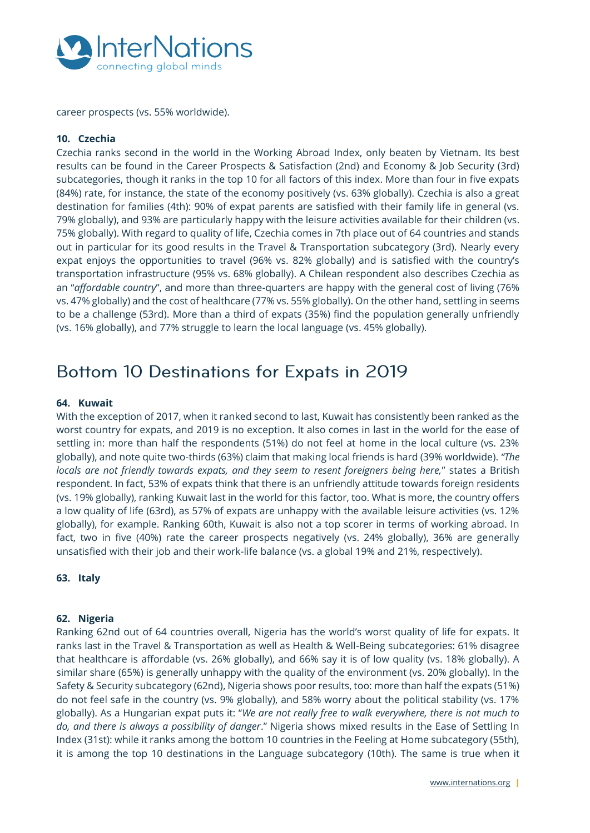

career prospects (vs. 55% worldwide).

### **10. Czechia**

Czechia ranks second in the world in the Working Abroad Index, only beaten by Vietnam. Its best results can be found in the Career Prospects & Satisfaction (2nd) and Economy & Job Security (3rd) subcategories, though it ranks in the top 10 for all factors of this index. More than four in five expats (84%) rate, for instance, the state of the economy positively (vs. 63% globally). Czechia is also a great destination for families (4th): 90% of expat parents are satisfied with their family life in general (vs. 79% globally), and 93% are particularly happy with the leisure activities available for their children (vs. 75% globally). With regard to quality of life, Czechia comes in 7th place out of 64 countries and stands out in particular for its good results in the Travel & Transportation subcategory (3rd). Nearly every expat enjoys the opportunities to travel (96% vs. 82% globally) and is satisfied with the country's transportation infrastructure (95% vs. 68% globally). A Chilean respondent also describes Czechia as an "*affordable country*", and more than three-quarters are happy with the general cost of living (76% vs. 47% globally) and the cost of healthcare (77% vs. 55% globally). On the other hand, settling in seems to be a challenge (53rd). More than a third of expats (35%) find the population generally unfriendly (vs. 16% globally), and 77% struggle to learn the local language (vs. 45% globally).

## Bottom 10 Destinations for Expats in 2019

#### **64. Kuwait**

With the exception of 2017, when it ranked second to last, Kuwait has consistently been ranked as the worst country for expats, and 2019 is no exception. It also comes in last in the world for the ease of settling in: more than half the respondents (51%) do not feel at home in the local culture (vs. 23% globally), and note quite two-thirds (63%) claim that making local friends is hard (39% worldwide). *"The locals are not friendly towards expats, and they seem to resent foreigners being here,*" states a British respondent. In fact, 53% of expats think that there is an unfriendly attitude towards foreign residents (vs. 19% globally), ranking Kuwait last in the world for this factor, too. What is more, the country offers a low quality of life (63rd), as 57% of expats are unhappy with the available leisure activities (vs. 12% globally), for example. Ranking 60th, Kuwait is also not a top scorer in terms of working abroad. In fact, two in five (40%) rate the career prospects negatively (vs. 24% globally), 36% are generally unsatisfied with their job and their work-life balance (vs. a global 19% and 21%, respectively).

**63. Italy**

### **62. Nigeria**

Ranking 62nd out of 64 countries overall, Nigeria has the world's worst quality of life for expats. It ranks last in the Travel & Transportation as well as Health & Well-Being subcategories: 61% disagree that healthcare is affordable (vs. 26% globally), and 66% say it is of low quality (vs. 18% globally). A similar share (65%) is generally unhappy with the quality of the environment (vs. 20% globally). In the Safety & Security subcategory (62nd), Nigeria shows poor results, too: more than half the expats (51%) do not feel safe in the country (vs. 9% globally), and 58% worry about the political stability (vs. 17% globally). As a Hungarian expat puts it: "*We are not really free to walk everywhere, there is not much to do, and there is always a possibility of danger*." Nigeria shows mixed results in the Ease of Settling In Index (31st): while it ranks among the bottom 10 countries in the Feeling at Home subcategory (55th), it is among the top 10 destinations in the Language subcategory (10th). The same is true when it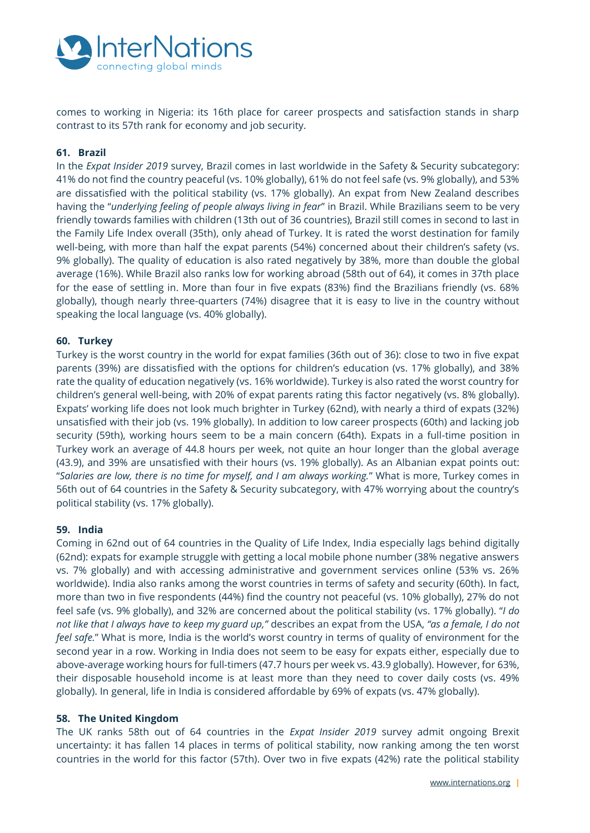

comes to working in Nigeria: its 16th place for career prospects and satisfaction stands in sharp contrast to its 57th rank for economy and job security.

#### **61. Brazil**

In the *Expat Insider 2019* survey, Brazil comes in last worldwide in the Safety & Security subcategory: 41% do not find the country peaceful (vs. 10% globally), 61% do not feel safe (vs. 9% globally), and 53% are dissatisfied with the political stability (vs. 17% globally). An expat from New Zealand describes having the "*underlying feeling of people always living in fear*" in Brazil. While Brazilians seem to be very friendly towards families with children (13th out of 36 countries), Brazil still comes in second to last in the Family Life Index overall (35th), only ahead of Turkey. It is rated the worst destination for family well-being, with more than half the expat parents (54%) concerned about their children's safety (vs. 9% globally). The quality of education is also rated negatively by 38%, more than double the global average (16%). While Brazil also ranks low for working abroad (58th out of 64), it comes in 37th place for the ease of settling in. More than four in five expats (83%) find the Brazilians friendly (vs. 68% globally), though nearly three-quarters (74%) disagree that it is easy to live in the country without speaking the local language (vs. 40% globally).

#### **60. Turkey**

Turkey is the worst country in the world for expat families (36th out of 36): close to two in five expat parents (39%) are dissatisfied with the options for children's education (vs. 17% globally), and 38% rate the quality of education negatively (vs. 16% worldwide). Turkey is also rated the worst country for children's general well-being, with 20% of expat parents rating this factor negatively (vs. 8% globally). Expats' working life does not look much brighter in Turkey (62nd), with nearly a third of expats (32%) unsatisfied with their job (vs. 19% globally). In addition to low career prospects (60th) and lacking job security (59th), working hours seem to be a main concern (64th). Expats in a full-time position in Turkey work an average of 44.8 hours per week, not quite an hour longer than the global average (43.9), and 39% are unsatisfied with their hours (vs. 19% globally). As an Albanian expat points out: "*Salaries are low, there is no time for myself, and I am always working.*" What is more, Turkey comes in 56th out of 64 countries in the Safety & Security subcategory, with 47% worrying about the country's political stability (vs. 17% globally).

#### **59. India**

Coming in 62nd out of 64 countries in the Quality of Life Index, India especially lags behind digitally (62nd): expats for example struggle with getting a local mobile phone number (38% negative answers vs. 7% globally) and with accessing administrative and government services online (53% vs. 26% worldwide). India also ranks among the worst countries in terms of safety and security (60th). In fact, more than two in five respondents (44%) find the country not peaceful (vs. 10% globally), 27% do not feel safe (vs. 9% globally), and 32% are concerned about the political stability (vs. 17% globally). "*I do not like that I always have to keep my guard up,"* describes an expat from the USA, *"as a female, I do not feel safe.*" What is more, India is the world's worst country in terms of quality of environment for the second year in a row. Working in India does not seem to be easy for expats either, especially due to above-average working hours for full-timers (47.7 hours per week vs. 43.9 globally). However, for 63%, their disposable household income is at least more than they need to cover daily costs (vs. 49% globally). In general, life in India is considered affordable by 69% of expats (vs. 47% globally).

#### **58. The United Kingdom**

The UK ranks 58th out of 64 countries in the *Expat Insider 2019* survey admit ongoing Brexit uncertainty: it has fallen 14 places in terms of political stability, now ranking among the ten worst countries in the world for this factor (57th). Over two in five expats (42%) rate the political stability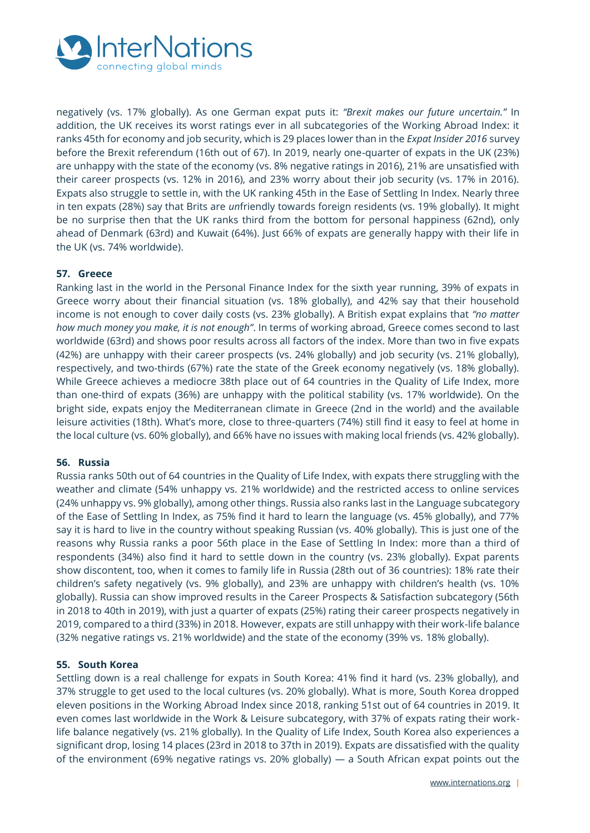

negatively (vs. 17% globally). As one German expat puts it: *"Brexit makes our future uncertain."* In addition, the UK receives its worst ratings ever in all subcategories of the Working Abroad Index: it ranks 45th for economy and job security, which is 29 places lower than in the *Expat Insider 2016* survey before the Brexit referendum (16th out of 67). In 2019, nearly one-quarter of expats in the UK (23%) are unhappy with the state of the economy (vs. 8% negative ratings in 2016), 21% are unsatisfied with their career prospects (vs. 12% in 2016), and 23% worry about their job security (vs. 17% in 2016). Expats also struggle to settle in, with the UK ranking 45th in the Ease of Settling In Index. Nearly three in ten expats (28%) say that Brits are *un*friendly towards foreign residents (vs. 19% globally). It might be no surprise then that the UK ranks third from the bottom for personal happiness (62nd), only ahead of Denmark (63rd) and Kuwait (64%). Just 66% of expats are generally happy with their life in the UK (vs. 74% worldwide).

### **57. Greece**

Ranking last in the world in the Personal Finance Index for the sixth year running, 39% of expats in Greece worry about their financial situation (vs. 18% globally), and 42% say that their household income is not enough to cover daily costs (vs. 23% globally). A British expat explains that *"no matter how much money you make, it is not enough"*. In terms of working abroad, Greece comes second to last worldwide (63rd) and shows poor results across all factors of the index. More than two in five expats (42%) are unhappy with their career prospects (vs. 24% globally) and job security (vs. 21% globally), respectively, and two-thirds (67%) rate the state of the Greek economy negatively (vs. 18% globally). While Greece achieves a mediocre 38th place out of 64 countries in the Quality of Life Index, more than one-third of expats (36%) are unhappy with the political stability (vs. 17% worldwide). On the bright side, expats enjoy the Mediterranean climate in Greece (2nd in the world) and the available leisure activities (18th). What's more, close to three-quarters (74%) still find it easy to feel at home in the local culture (vs. 60% globally), and 66% have no issues with making local friends (vs. 42% globally).

### **56. Russia**

Russia ranks 50th out of 64 countries in the Quality of Life Index, with expats there struggling with the weather and climate (54% unhappy vs. 21% worldwide) and the restricted access to online services (24% unhappy vs. 9% globally), among other things. Russia also ranks last in the Language subcategory of the Ease of Settling In Index, as 75% find it hard to learn the language (vs. 45% globally), and 77% say it is hard to live in the country without speaking Russian (vs. 40% globally). This is just one of the reasons why Russia ranks a poor 56th place in the Ease of Settling In Index: more than a third of respondents (34%) also find it hard to settle down in the country (vs. 23% globally). Expat parents show discontent, too, when it comes to family life in Russia (28th out of 36 countries): 18% rate their children's safety negatively (vs. 9% globally), and 23% are unhappy with children's health (vs. 10% globally). Russia can show improved results in the Career Prospects & Satisfaction subcategory (56th in 2018 to 40th in 2019), with just a quarter of expats (25%) rating their career prospects negatively in 2019, compared to a third (33%) in 2018. However, expats are still unhappy with their work-life balance (32% negative ratings vs. 21% worldwide) and the state of the economy (39% vs. 18% globally).

#### **55. South Korea**

Settling down is a real challenge for expats in South Korea: 41% find it hard (vs. 23% globally), and 37% struggle to get used to the local cultures (vs. 20% globally). What is more, South Korea dropped eleven positions in the Working Abroad Index since 2018, ranking 51st out of 64 countries in 2019. It even comes last worldwide in the Work & Leisure subcategory, with 37% of expats rating their worklife balance negatively (vs. 21% globally). In the Quality of Life Index, South Korea also experiences a significant drop, losing 14 places (23rd in 2018 to 37th in 2019). Expats are dissatisfied with the quality of the environment (69% negative ratings vs. 20% globally) — a South African expat points out the